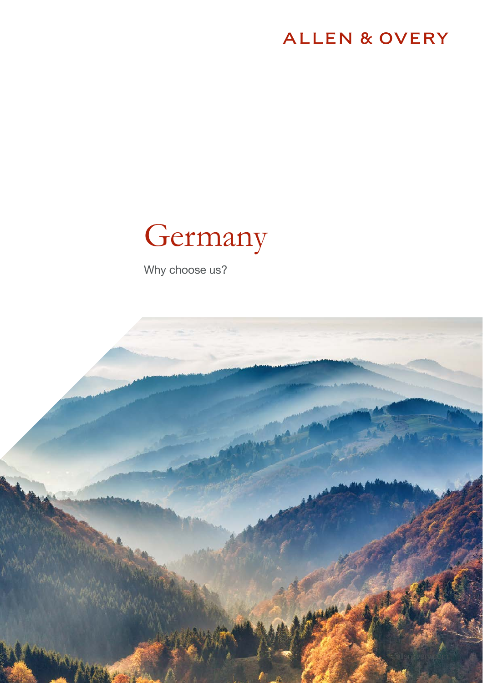### ALLEN & OVERY



Why choose us?

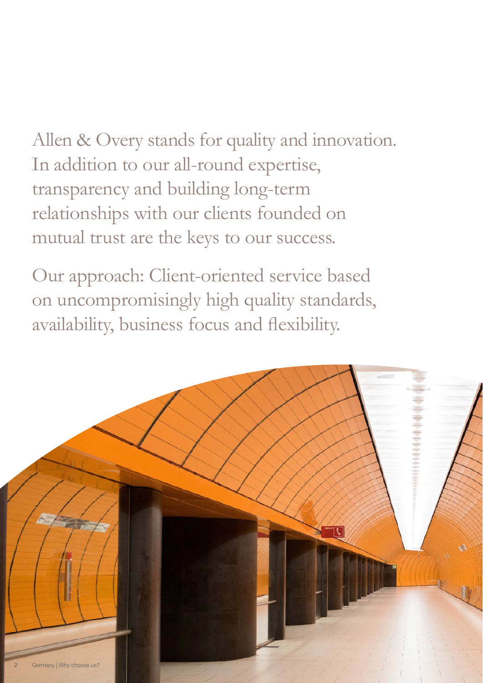Allen & Overy stands for quality and innovation. In addition to our all-round expertise, transparency and building long-term relationships with our clients founded on mutual trust are the keys to our success.

Our approach: Client-oriented service based on uncompromisingly high quality standards, availability, business focus and flexibility.

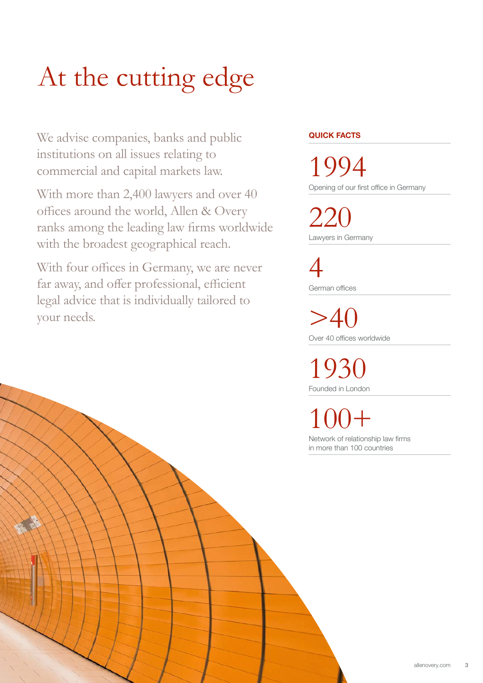# At the cutting edge

We advise companies, banks and public institutions on all issues relating to commercial and capital markets law.

With more than 2,400 lawyers and over 40 offices around the world, Allen & Overy ranks among the leading law firms worldwide with the broadest geographical reach.

With four offices in Germany, we are never far away, and offer professional, efficient legal advice that is individually tailored to your needs.

#### QUICK FACTS

1994 Opening of our first office in Germany

220 Lawyers in Germany

4 German offices

 $>40$ Over 40 offices worldwide

1930 Founded in London

100+ Network of relationship law firms in more than 100 countries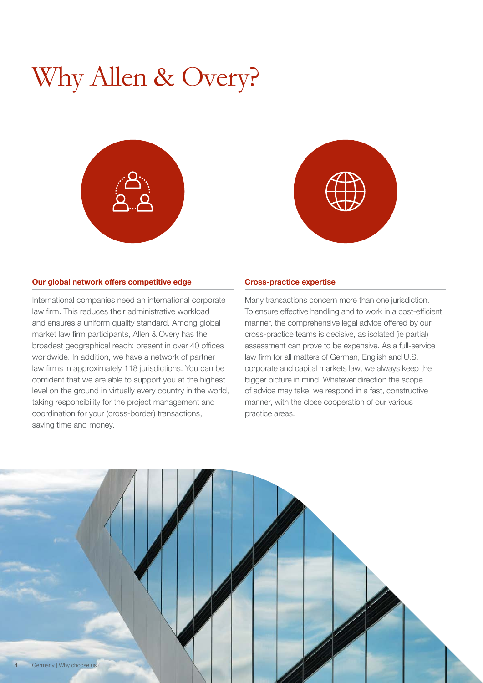### Why Allen & Overy?





#### Our global network offers competitive edge

International companies need an international corporate law firm. This reduces their administrative workload and ensures a uniform quality standard. Among global market law firm participants, Allen & Overy has the broadest geographical reach: present in over 40 offices worldwide. In addition, we have a network of partner law firms in approximately 118 jurisdictions. You can be confident that we are able to support you at the highest level on the ground in virtually every country in the world, taking responsibility for the project management and coordination for your (cross-border) transactions, saving time and money.

#### Cross-practice expertise

Many transactions concern more than one jurisdiction. To ensure effective handling and to work in a cost-efficient manner, the comprehensive legal advice offered by our cross-practice teams is decisive, as isolated (ie partial) assessment can prove to be expensive. As a full-service law firm for all matters of German, English and U.S. corporate and capital markets law, we always keep the bigger picture in mind. Whatever direction the scope of advice may take, we respond in a fast, constructive manner, with the close cooperation of our various practice areas.

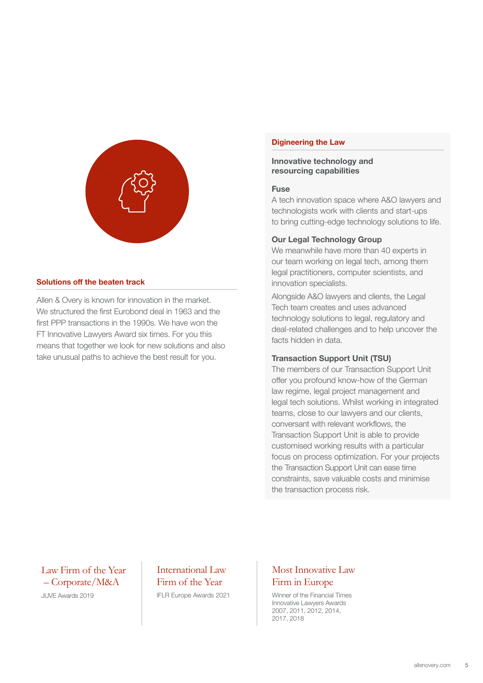

#### Solutions off the beaten track

Allen & Overy is known for innovation in the market. We structured the first Eurobond deal in 1963 and the first PPP transactions in the 1990s. We have won the FT Innovative Lawyers Award six times. For you this means that together we look for new solutions and also take unusual paths to achieve the best result for you.

#### Digineering the Law

#### Innovative technology and resourcing capabilities

#### Fuse

A tech innovation space where A&O lawyers and technologists work with clients and start-ups to bring cutting-edge technology solutions to life.

#### Our Legal Technology Group

We meanwhile have more than 40 experts in our team working on legal tech, among them legal practitioners, computer scientists, and innovation specialists.

Alongside A&O lawyers and clients, the Legal Tech team creates and uses advanced technology solutions to legal, regulatory and deal-related challenges and to help uncover the facts hidden in data.

#### Transaction Support Unit (TSU)

The members of our Transaction Support Unit offer you profound know-how of the German law regime, legal project management and legal tech solutions. Whilst working in integrated teams, close to our lawyers and our clients, conversant with relevant workflows, the Transaction Support Unit is able to provide customised working results with a particular focus on process optimization. For your projects the Transaction Support Unit can ease time constraints, save valuable costs and minimise the transaction process risk.



International Law Firm of the Year IFLR Europe Awards 2021

#### Most Innovative Law Firm in Europe

Winner of the Financial Times Innovative Lawyers Awards 2007, 2011, 2012, 2014, 2017, 2018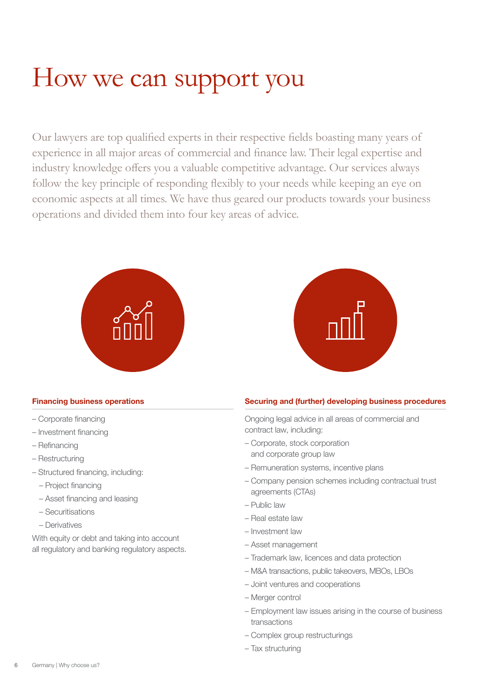### How we can support you

Our lawyers are top qualified experts in their respective fields boasting many years of experience in all major areas of commercial and finance law. Their legal expertise and industry knowledge offers you a valuable competitive advantage. Our services always follow the key principle of responding flexibly to your needs while keeping an eye on economic aspects at all times. We have thus geared our products towards your business operations and divided them into four key areas of advice.



#### Financing business operations

- Corporate financing
- Investment financing
- Refinancing
- Restructuring
- Structured financing, including:
	- Project financing
	- Asset financing and leasing
	- Securitisations
	- Derivatives

With equity or debt and taking into account all regulatory and banking regulatory aspects.



#### Securing and (further) developing business procedures

Ongoing legal advice in all areas of commercial and contract law, including:

- Corporate, stock corporation and corporate group law
- Remuneration systems, incentive plans
- Company pension schemes including contractual trust agreements (CTAs)
- Public law
- Real estate law
- Investment law
- Asset management
- Trademark law, licences and data protection
- M&A transactions, public takeovers, MBOs, LBOs
- Joint ventures and cooperations
- Merger control
- Employment law issues arising in the course of business transactions
- Complex group restructurings
- Tax structuring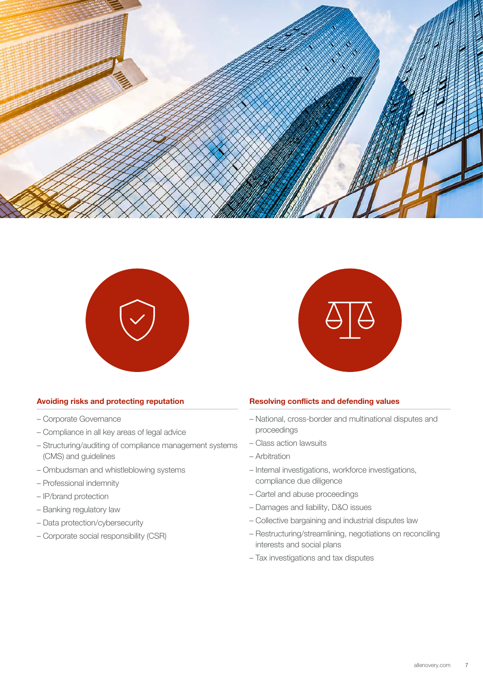



#### Avoiding risks and protecting reputation

- Corporate Governance
- Compliance in all key areas of legal advice
- Structuring/auditing of compliance management systems (CMS) and guidelines
- Ombudsman and whistleblowing systems
- Professional indemnity
- IP/brand protection
- Banking regulatory law
- Data protection/cybersecurity
- Corporate social responsibility (CSR)

#### Resolving conflicts and defending values

- National, cross-border and multinational disputes and proceedings
- Class action lawsuits
- Arbitration
- Internal investigations, workforce investigations, compliance due diligence
- Cartel and abuse proceedings
- Damages and liability, D&O issues
- Collective bargaining and industrial disputes law
- Restructuring/streamlining, negotiations on reconciling interests and social plans
- Tax investigations and tax disputes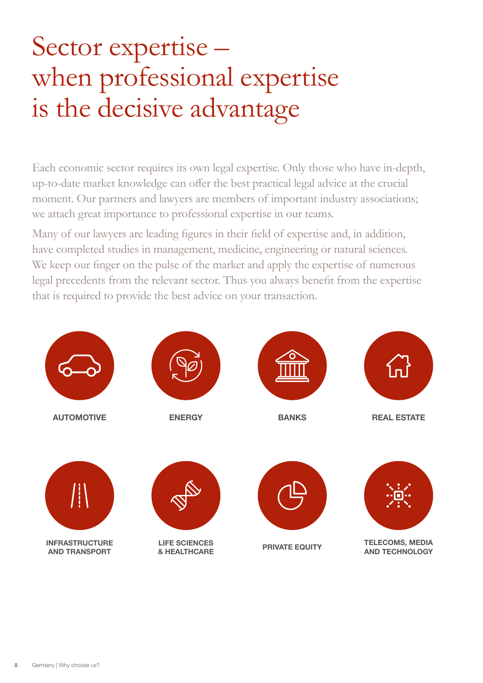### Sector expertise – when professional expertise is the decisive advantage

Each economic sector requires its own legal expertise. Only those who have in-depth, up-to-date market knowledge can offer the best practical legal advice at the crucial moment. Our partners and lawyers are members of important industry associations; we attach great importance to professional expertise in our teams.

Many of our lawyers are leading figures in their field of expertise and, in addition, have completed studies in management, medicine, engineering or natural sciences. We keep our finger on the pulse of the market and apply the expertise of numerous legal precedents from the relevant sector. Thus you always benefit from the expertise that is required to provide the best advice on your transaction.

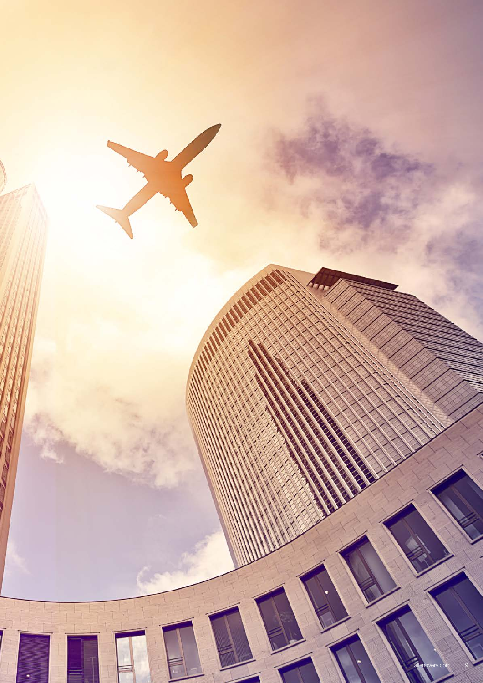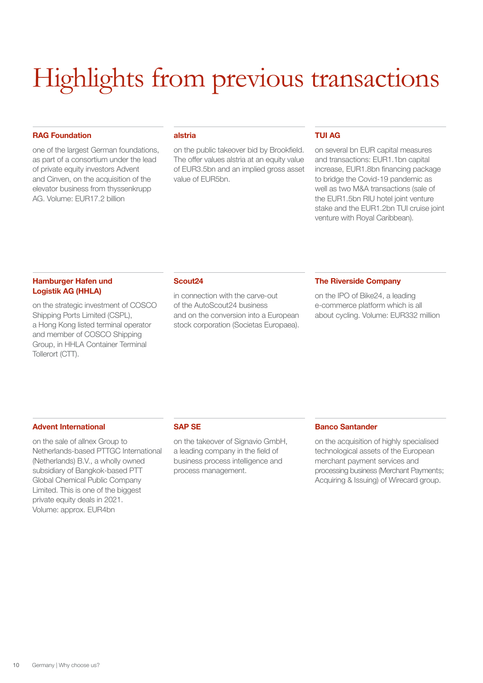## Highlights from previous transactions

#### RAG Foundation

one of the largest German foundations, as part of a consortium under the lead of private equity investors Advent and Cinven, on the acquisition of the elevator business from thyssenkrupp AG. Volume: EUR17.2 billion

#### alstria

on the public takeover bid by Brookfield. The offer values alstria at an equity value of EUR3.5bn and an implied gross asset value of EUR5bn.

#### TUI AG

on several bn EUR capital measures and transactions: EUR1.1bn capital increase, EUR1.8bn financing package to bridge the Covid-19 pandemic as well as two M&A transactions (sale of the EUR1.5bn RIU hotel joint venture stake and the EUR1.2bn TUI cruise joint venture with Royal Caribbean).

#### Hamburger Hafen und Logistik AG (HHLA)

on the strategic investment of COSCO Shipping Ports Limited (CSPL), a Hong Kong listed terminal operator and member of COSCO Shipping Group, in HHLA Container Terminal Tollerort (CTT).

#### Scout24

in connection with the carve-out of the AutoScout24 business and on the conversion into a European stock corporation (Societas Europaea).

#### The Riverside Company

on the IPO of Bike24, a leading e-commerce platform which is all about cycling. Volume: EUR332 million

#### Advent International

on the sale of allnex Group to Netherlands-based PTTGC International (Netherlands) B.V., a wholly owned subsidiary of Bangkok-based PTT Global Chemical Public Company Limited. This is one of the biggest private equity deals in 2021. Volume: approx. EUR4bn

#### SAP SE

on the takeover of Signavio GmbH, a leading company in the field of business process intelligence and process management.

#### Banco Santander

on the acquisition of highly specialised technological assets of the European merchant payment services and processing business (Merchant Payments; Acquiring & Issuing) of Wirecard group.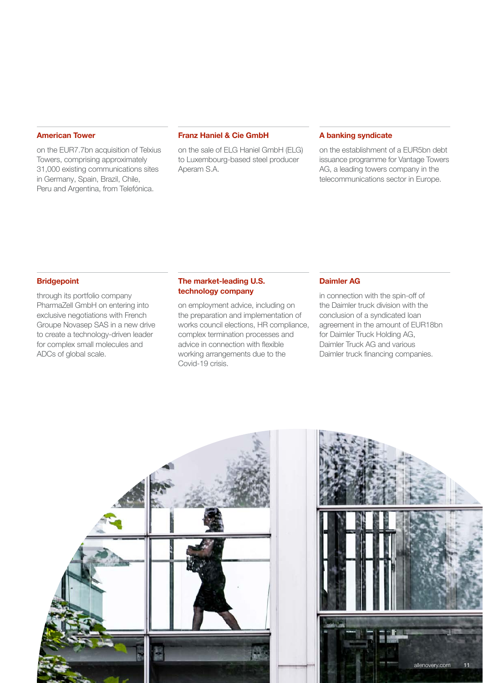#### American Tower

on the EUR7.7bn acquisition of Telxius Towers, comprising approximately 31,000 existing communications sites in Germany, Spain, Brazil, Chile, Peru and Argentina, from Telefónica.

#### Franz Haniel & Cie GmbH

on the sale of ELG Haniel GmbH (ELG) to Luxembourg-based steel producer Aperam S.A.

#### A banking syndicate

on the establishment of a EUR5bn debt issuance programme for Vantage Towers AG, a leading towers company in the telecommunications sector in Europe.

#### **Bridgepoint**

through its portfolio company PharmaZell GmbH on entering into exclusive negotiations with French Groupe Novasep SAS in a new drive to create a technology-driven leader for complex small molecules and ADCs of global scale.

#### The market-leading U.S. technology company

on employment advice, including on the preparation and implementation of works council elections, HR compliance, complex termination processes and advice in connection with flexible working arrangements due to the Covid-19 crisis.

#### Daimler AG

in connection with the spin-off of the Daimler truck division with the conclusion of a syndicated loan agreement in the amount of EUR18bn for Daimler Truck Holding AG, Daimler Truck AG and various Daimler truck financing companies.